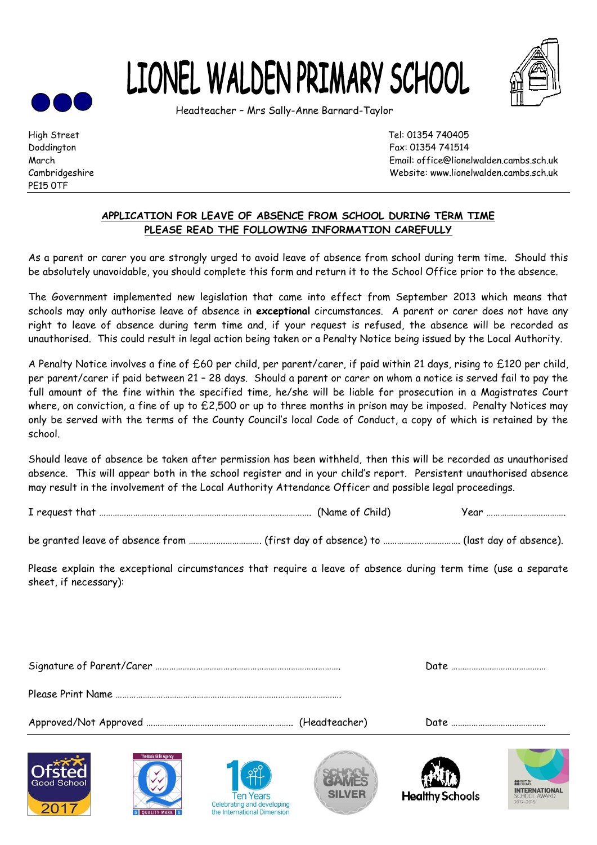



Headteacher – Mrs Sally-Anne Barnard-Taylor



PE15 0TF

2017

**B**<br>**5** OUALITY MARK 5

High Street Tel: 01354 740405 Doddington Fax: 01354 741514 March Email: office@lionelwalden.cambs.sch.uk Cambridgeshire Website: www.lionelwalden.cambs.sch.uk

## **APPLICATION FOR LEAVE OF ABSENCE FROM SCHOOL DURING TERM TIME PLEASE READ THE FOLLOWING INFORMATION CAREFULLY**

As a parent or carer you are strongly urged to avoid leave of absence from school during term time. Should this be absolutely unavoidable, you should complete this form and return it to the School Office prior to the absence.

The Government implemented new legislation that came into effect from September 2013 which means that schools may only authorise leave of absence in **exceptional** circumstances. A parent or carer does not have any right to leave of absence during term time and, if your request is refused, the absence will be recorded as unauthorised. This could result in legal action being taken or a Penalty Notice being issued by the Local Authority.

A Penalty Notice involves a fine of £60 per child, per parent/carer, if paid within 21 days, rising to £120 per child, per parent/carer if paid between 21 – 28 days. Should a parent or carer on whom a notice is served fail to pay the full amount of the fine within the specified time, he/she will be liable for prosecution in a Magistrates Court where, on conviction, a fine of up to £2,500 or up to three months in prison may be imposed. Penalty Notices may only be served with the terms of the County Council's local Code of Conduct, a copy of which is retained by the school.

Should leave of absence be taken after permission has been withheld, then this will be recorded as unauthorised absence. This will appear both in the school register and in your child's report. Persistent unauthorised absence may result in the involvement of the Local Authority Attendance Officer and possible legal proceedings.

| I request that | Child <sup>1</sup><br>(Name ot C | .00 <sup>o</sup><br>ຼ<br> |
|----------------|----------------------------------|---------------------------|
|----------------|----------------------------------|---------------------------|

be granted leave of absence from …………….……………. (first day of absence) to ……………………………. (last day of absence).

Please explain the exceptional circumstances that require a leave of absence during term time (use a separate sheet, if necessary):

| <b>The Basic Skills Ageno</b><br>Good School<br>0017 | <b>SILVER</b><br><b>Ten Years</b><br>Celebrating and developing | <b>Healthy Schools</b> | <b>80 BRITISH</b><br><b>INTERNATIONAL</b><br><b>SCHOOL AWARD</b><br>2012-2015 |
|------------------------------------------------------|-----------------------------------------------------------------|------------------------|-------------------------------------------------------------------------------|

the International Dimension